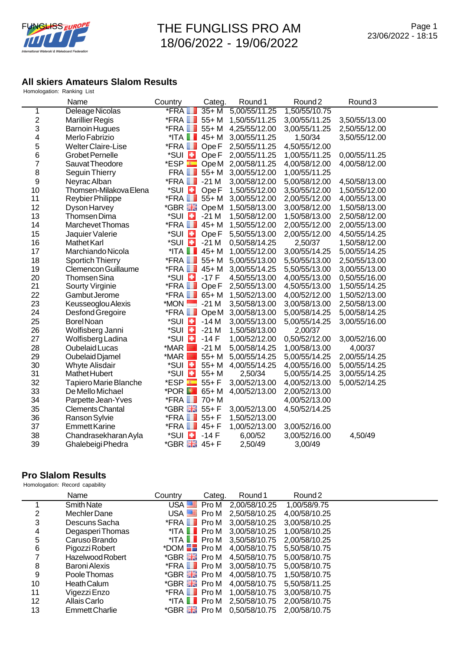

## **All skiers Amateurs Slalom Results** Homologation: Ranking List

|    | Name                      | Country                          | Categ.           | Round 1       | Round <sub>2</sub> | Round <sub>3</sub> |
|----|---------------------------|----------------------------------|------------------|---------------|--------------------|--------------------|
| 1  | Deleage Nicolas           | <b>*FRA</b>                      | $35+M$           | 5,00/55/11.25 | 1,50/55/10.75      |                    |
| 2  | <b>Marillier Regis</b>    | $*$ FRA $\blacksquare$           | $55+M$           | 1,50/55/11.25 | 3,00/55/11.25      | 3,50/55/13.00      |
| 3  | <b>Barnoin Hugues</b>     | $*$ FRA $\blacksquare$           | $55+M$           | 4,25/55/12.00 | 3,00/55/11.25      | 2,50/55/12.00      |
| 4  | Merlo Fabrizio            | $^*$ ITA $\blacksquare$          | $45 + M$         | 3,00/55/11.25 | 1,50/34            | 3,50/55/12.00      |
| 5  | <b>Welter Claire-Lise</b> | $*$ FRA $\blacksquare$           | Ope F            | 2,50/55/11.25 | 4,50/55/12.00      |                    |
| 6  | <b>Grobet Pernelle</b>    | *SUI <b>E</b>                    | Ope <sub>F</sub> | 2,00/55/11.25 | 1,00/55/11.25      | 0,00/55/11.25      |
| 7  | Sauvat Theodore           | $*$ ESP $\overline{\phantom{a}}$ | Ope M            | 2,00/58/11.25 | 4,00/58/12.00      | 4,00/58/12.00      |
| 8  | Seguin Thierry            | FRA <b>I</b>                     | $55+M$           | 3,00/55/12.00 | 1,00/55/11.25      |                    |
| 9  | Neyrac Alban              | $*$ FRA $\blacksquare$           | $-21M$           | 3,00/58/12.00 | 5,00/58/12.00      | 4,50/58/13.00      |
| 10 | Thomsen-Milakova Elena    | *SUI <b>E</b>                    | Ope <sub>F</sub> | 1,50/55/12.00 | 3,50/55/12.00      | 1,50/55/12.00      |
| 11 | Reybier Philippe          | *FRA <b>∐</b>                    | $55+M$           | 3,00/55/12.00 | 2,00/55/12.00      | 4,00/55/13.00      |
| 12 | Dyson Harvey              | *GBR HE                          | Ope M            | 1,50/58/13.00 | 3,00/58/12.00      | 1,50/58/13.00      |
| 13 | Thomsen Dima              | *SUI <b>E</b>                    | $-21M$           | 1,50/58/12.00 | 1,50/58/13.00      | 2,50/58/12.00      |
| 14 | Marchevet Thomas          | $*$ FRA $\blacksquare$           | $45 + M$         | 1,50/55/12.00 | 2,00/55/12.00      | 2,00/55/13.00      |
| 15 | Jaquier Valerie           | *SUI <b>E</b>                    | Ope <sub>F</sub> | 5,50/55/13.00 | 2,00/55/12.00      | 4,50/55/14.25      |
| 16 | Mathet Karl               | *SUI <b>E</b>                    | $-21M$           | 0,50/58/14.25 | 2,50/37            | 1,50/58/12.00      |
| 17 | Marchiando Nicola         | $^*$ ITA $\Box$                  | $45+M$           | 1,00/55/12.00 | 3,00/55/14.25      | 5,00/55/14.25      |
| 18 | <b>Sportich Thierry</b>   | *FRA II                          | $55+M$           | 5,00/55/13.00 | 5,50/55/13.00      | 2,50/55/13.00      |
| 19 | Clemencon Guillaume       | $*$ FRA $\blacksquare$           | $45 + M$         | 3,00/55/14.25 | 5,50/55/13.00      | 3,00/55/13.00      |
| 20 | Thomsen Sina              | *SUI <b>E</b>                    | $-17F$           | 4,50/55/13.00 | 4,00/55/13.00      | 0,50/55/16.00      |
| 21 | Sourty Virginie           | $*$ FRA $\blacksquare$           | Ope <sub>F</sub> | 2,50/55/13.00 | 4,50/55/13.00      | 1,50/55/14.25      |
| 22 | Gambut Jerome             | $*$ FRA $\blacksquare$           | $65+M$           | 1,50/52/13.00 | 4,00/52/12.00      | 1,50/52/13.00      |
| 23 | Keusseoglou Alexis        | $*$ MON $\blacksquare$           | $-21M$           | 3,50/58/13.00 | 3,00/58/13.00      | 2,50/58/13.00      |
| 24 | Desfond Gregoire          | $*$ FRA $\blacksquare$           | Ope M            | 3,00/58/13.00 | 5,00/58/14.25      | 5,00/58/14.25      |
| 25 | <b>Borel Noan</b>         | *SUI <b>E</b>                    | $-14M$           | 3,00/55/13.00 | 5,00/55/14.25      | 3,00/55/16.00      |
| 26 | Wolfisberg Janni          | *SUI <b>E</b>                    | $-21M$           | 1,50/58/13.00 | 2,00/37            |                    |
| 27 | Wolfisberg Ladina         | *SUI <b>E</b>                    | $-14F$           | 1,00/52/12.00 | 0,50/52/12.00      | 3,00/52/16.00      |
| 28 | Oubelaid Lucas            | *MAR  <br>$\sim$                 | $-21M$           | 5,00/58/14.25 | 1,00/58/13.00      | 4,00/37            |
| 29 | Oubelaid Djamel           | *MAR<br>$\sim$                   | $55+M$           | 5,00/55/14.25 | 5,00/55/14.25      | 2,00/55/14.25      |
| 30 | <b>Whyte Alisdair</b>     | *SUI <b>E</b>                    | $55+M$           | 4,00/55/14.25 | 4,00/55/16.00      | 5,00/55/14.25      |
| 31 | Mathet Hubert             | *SUI <b>E</b>                    | $55+M$           | 2,50/34       | 5,00/55/14.25      | 3,00/55/14.25      |
| 32 | Tapiero Marie Blanche     | $*$ ESP $\Box$                   | $55 + F$         | 3,00/52/13.00 | 4,00/52/13.00      | 5,00/52/14.25      |
| 33 | De Mello Michael          | <b>*POR</b>                      | $65+M$           | 4,00/52/13.00 | 2,00/52/13.00      |                    |
| 34 | Parpette Jean-Yves        | *FRA <b>∐</b>                    | $70+M$           |               | 4,00/52/13.00      |                    |
| 35 | <b>Clements Chantal</b>   | *GBR <b>He</b>                   | $55 + F$         | 3,00/52/13.00 | 4,50/52/14.25      |                    |
| 36 | Ranson Sylvie             | $*$ FRA $\blacksquare$           | $55 + F$         | 1,50/52/13.00 |                    |                    |
| 37 | <b>Emmett Karine</b>      | $*$ FRA $\blacksquare$           | $45 + F$         | 1,00/52/13.00 | 3,00/52/16.00      |                    |
| 38 | Chandrasekharan Ayla      | *SUI <b>E</b>                    | $-14F$           | 6,00/52       | 3,00/52/16.00      | 4,50/49            |
| 39 | Ghalebeigi Phedra         | *GBR 品                           | $45 + F$         | 2,50/49       | 3,00/49            |                    |

## **Pro Slalom Results**

Homologation: Record capability

|    | Name                  | Categ.<br>Country                                | Round 1                     | Round <sub>2</sub> |  |
|----|-----------------------|--------------------------------------------------|-----------------------------|--------------------|--|
|    | <b>Smith Nate</b>     | USA EE<br>Pro M                                  | 2,00/58/10.25               | 1,00/58/9.75       |  |
| 2  | Mechler Dane          | USA $\equiv$ Pro M                               | 2,50/58/10.25               | 4,00/58/10.25      |  |
| 3  | Descuns Sacha         | *FRA Pro M 3,00/58/10.25                         |                             | 3,00/58/10.25      |  |
| 4  | Degasperi Thomas      | *ITA $\blacksquare$ Pro M 3,00/58/10.25          |                             | 1,00/58/10.25      |  |
| 5  | Caruso Brando         | *ITA Pro M 3,50/58/10.75 2,00/58/10.25           |                             |                    |  |
| 6  | Pigozzi Robert        | *DOM $\blacksquare$ Pro M 4,00/58/10.75          |                             | 5,50/58/10.75      |  |
|    | Hazelwood Robert      | *GBR <b>He</b> Pro M 4,50/58/10.75               |                             | 5,00/58/10.75      |  |
| 8  | Baroni Alexis         | *FRA Pro M 3,00/58/10.75                         |                             | 5,00/58/10.75      |  |
| 9  | Poole Thomas          | *GBR <b>He</b> Pro M 4,00/58/10.75               |                             | 1,50/58/10.75      |  |
| 10 | <b>Heath Calum</b>    | *GBR <i>-</i> Fro M                              | 4,00/58/10.75               | 5,50/58/11.25      |  |
| 11 | Vigezzi Enzo          | *FRA <b>■ Pro M</b>                              | 1,00/58/10.75 3,00/58/10.75 |                    |  |
| 12 | Allais Carlo          | *ITA Pro M 2,50/58/10.75 2,00/58/10.75           |                             |                    |  |
| 13 | <b>Emmett Charlie</b> | *GBR <b>He</b> Pro M 0,50/58/10.75 2,00/58/10.75 |                             |                    |  |